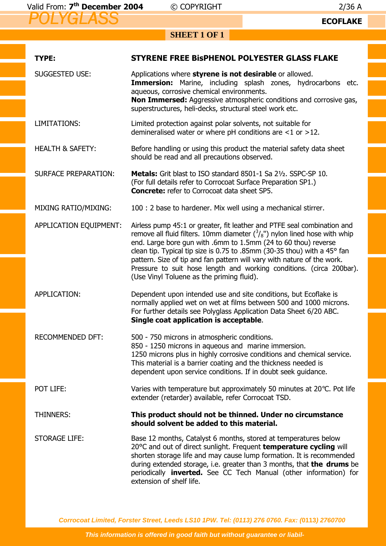2/36 A<br>**ECOFLAKE** 

## **SHEET 1 OF 1**

| TYPE:                       | STYRENE FREE BISPHENOL POLYESTER GLASS FLAKE                                                                                                                                                                                                                                                                                                                                                                                                                                                          |
|-----------------------------|-------------------------------------------------------------------------------------------------------------------------------------------------------------------------------------------------------------------------------------------------------------------------------------------------------------------------------------------------------------------------------------------------------------------------------------------------------------------------------------------------------|
| <b>SUGGESTED USE:</b>       | Applications where styrene is not desirable or allowed.<br><b>Immersion:</b> Marine, including splash zones, hydrocarbons etc.<br>aqueous, corrosive chemical environments.<br>Non Immersed: Aggressive atmospheric conditions and corrosive gas,<br>superstructures, heli-decks, structural steel work etc.                                                                                                                                                                                          |
| LIMITATIONS:                | Limited protection against polar solvents, not suitable for<br>demineralised water or where pH conditions are $<$ 1 or >12.                                                                                                                                                                                                                                                                                                                                                                           |
| <b>HEALTH &amp; SAFETY:</b> | Before handling or using this product the material safety data sheet<br>should be read and all precautions observed.                                                                                                                                                                                                                                                                                                                                                                                  |
| <b>SURFACE PREPARATION:</b> | <b>Metals:</b> Grit blast to ISO standard 8501-1 Sa 21/2, SSPC-SP 10.<br>(For full details refer to Corrocoat Surface Preparation SP1.)<br><b>Concrete:</b> refer to Corrocoat data sheet SP5.                                                                                                                                                                                                                                                                                                        |
| <b>MIXING RATIO/MIXING:</b> | 100 : 2 base to hardener. Mix well using a mechanical stirrer.                                                                                                                                                                                                                                                                                                                                                                                                                                        |
| APPLICATION EQUIPMENT:      | Airless pump 45:1 or greater, fit leather and PTFE seal combination and<br>remove all fluid filters. 10mm diameter $(^3/8")$ nylon lined hose with whip<br>end. Large bore gun with .6mm to 1.5mm (24 to 60 thou) reverse<br>clean tip. Typical tip size is 0.75 to .85mm (30-35 thou) with a 45° fan<br>pattern. Size of tip and fan pattern will vary with nature of the work.<br>Pressure to suit hose length and working conditions. (circa 200bar).<br>(Use Vinyl Toluene as the priming fluid). |
| APPLICATION:                | Dependent upon intended use and site conditions, but Ecoflake is<br>normally applied wet on wet at films between 500 and 1000 microns.<br>For further details see Polyglass Application Data Sheet 6/20 ABC.<br>Single coat application is acceptable.                                                                                                                                                                                                                                                |
| <b>RECOMMENDED DFT:</b>     | 500 - 750 microns in atmospheric conditions.<br>850 - 1250 microns in aqueous and marine immersion.<br>1250 microns plus in highly corrosive conditions and chemical service.<br>This material is a barrier coating and the thickness needed is<br>dependent upon service conditions. If in doubt seek guidance.                                                                                                                                                                                      |
| POT LIFE:                   | Varies with temperature but approximately 50 minutes at 20°C. Pot life<br>extender (retarder) available, refer Corrocoat TSD.                                                                                                                                                                                                                                                                                                                                                                         |
| <b>THINNERS:</b>            | This product should not be thinned. Under no circumstance<br>should solvent be added to this material.                                                                                                                                                                                                                                                                                                                                                                                                |
| <b>STORAGE LIFE:</b>        | Base 12 months, Catalyst 6 months, stored at temperatures below<br>20°C and out of direct sunlight. Frequent temperature cycling will<br>shorten storage life and may cause lump formation. It is recommended<br>during extended storage, i.e. greater than 3 months, that the drums be<br>periodically <b>inverted.</b> See CC Tech Manual (other information) for<br>extension of shelf life.                                                                                                       |

**Corrocoat Limited, Forster Street, Leeds LS10 1PW. Tel: (0113) 276 0760. Fax: (0113) 2760700**